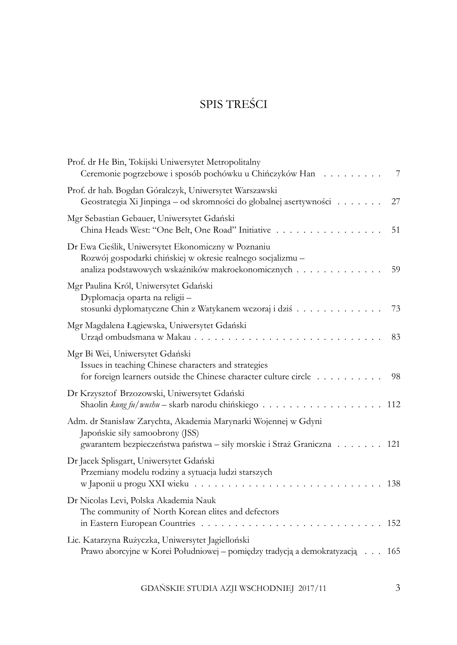# SPIS TREŚCI

| Prof. dr He Bin, Tokijski Uniwersytet Metropolitalny<br>Ceremonie pogrzebowe i sposób pochówku u Chińczyków Han                                                             | 7   |
|-----------------------------------------------------------------------------------------------------------------------------------------------------------------------------|-----|
| Prof. dr hab. Bogdan Góralczyk, Uniwersytet Warszawski<br>Geostrategia Xi Jinpinga – od skromności do globalnej asertywności                                                | 27  |
| Mgr Sebastian Gebauer, Uniwersytet Gdański<br>China Heads West: "One Belt, One Road" Initiative                                                                             | 51  |
| Dr Ewa Cieślik, Uniwersytet Ekonomiczny w Poznaniu<br>Rozwój gospodarki chińskiej w okresie realnego socjalizmu -<br>analiza podstawowych wskaźników makroekonomicznych     | 59  |
| Mgr Paulina Król, Uniwersytet Gdański<br>Dyplomacja oparta na religii -<br>stosunki dyplomatyczne Chin z Watykanem wczoraj i dziś                                           | 73  |
| Mgr Magdalena Łągiewska, Uniwersytet Gdański<br>Urząd ombudsmana w Makau                                                                                                    | 83  |
| Mgr Bi Wei, Uniwersytet Gdański<br>Issues in teaching Chinese characters and strategies<br>for foreign learners outside the Chinese character culture circle                | 98  |
| Dr Krzysztof Brzozowski, Uniwersytet Gdański                                                                                                                                | 112 |
| Adm. dr Stanisław Zarychta, Akademia Marynarki Wojennej w Gdyni<br>Japońskie siły samoobrony (JSS)<br>gwarantem bezpieczeństwa państwa – siły morskie i Straż Graniczna 121 |     |
| Dr Jacek Splisgart, Uniwersytet Gdański<br>Przemiany modelu rodziny a sytuacja ludzi starszych<br>w Japonii u progu XXI wieku                                               | 138 |
| Dr Nicolas Levi, Polska Akademia Nauk<br>The community of North Korean elites and defectors                                                                                 | 152 |
| Lic. Katarzyna Rużyczka, Uniwersytet Jagielloński<br>Prawo aborcyjne w Korei Południowej – pomiędzy tradycją a demokratyzacją 165                                           |     |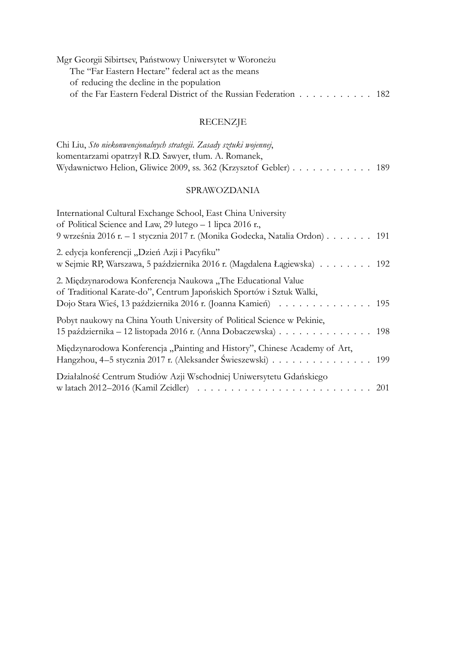| Mgr Georgii Sibirtsev, Państwowy Uniwersytet w Woroneżu           |  |
|-------------------------------------------------------------------|--|
| The "Far Eastern Hectare" federal act as the means                |  |
| of reducing the decline in the population                         |  |
| of the Far Eastern Federal District of the Russian Federation 182 |  |

# RECENZJE

| Chi Liu, Sto niekonwencjonalnych strategii. Zasady sztuki wojennej, |  |
|---------------------------------------------------------------------|--|
| komentarzami opatrzył R.D. Sawyer, tłum. A. Romanek,                |  |
| Wydawnictwo Helion, Gliwice 2009, ss. 362 (Krzysztof Gebler) 189    |  |

## SPRAWOZDANIA

| International Cultural Exchange School, East China University<br>of Political Science and Law, 29 lutego - 1 lipca 2016 r.,<br>9 września 2016 r. – 1 stycznia 2017 r. (Monika Godecka, Natalia Ordon) 191 |
|------------------------------------------------------------------------------------------------------------------------------------------------------------------------------------------------------------|
| 2. edycja konferencji "Dzień Azji i Pacyfiku"<br>w Sejmie RP, Warszawa, 5 października 2016 r. (Magdalena Łągiewska) 192                                                                                   |
| 2. Międzynarodowa Konferencja Naukowa "The Educational Value<br>of Traditional Karate-do", Centrum Japońskich Sportów i Sztuk Walki,<br>Dojo Stara Wieś, 13 października 2016 r. (Joanna Kamień) 195       |
| Pobyt naukowy na China Youth University of Political Science w Pekinie,<br>15 października – 12 listopada 2016 r. (Anna Dobaczewska) 198                                                                   |
| Międzynarodowa Konferencja "Painting and History", Chinese Academy of Art,<br>Hangzhou, 4-5 stycznia 2017 r. (Aleksander Świeszewski) 199                                                                  |
| Działalność Centrum Studiów Azji Wschodniej Uniwersytetu Gdańskiego                                                                                                                                        |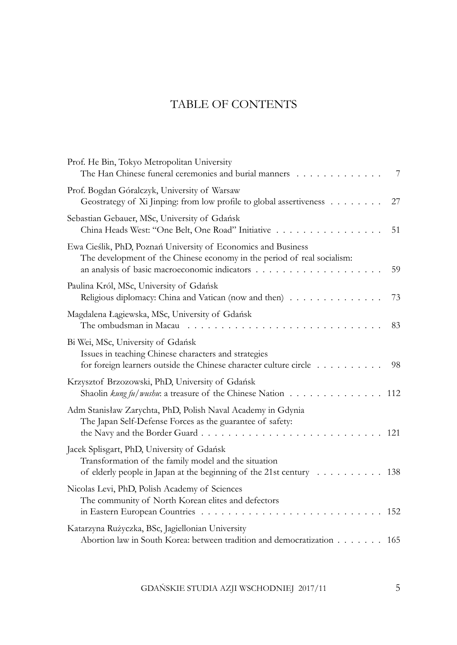# TABLE OF CONTENTS

| Prof. He Bin, Tokyo Metropolitan University<br>The Han Chinese funeral ceremonies and burial manners                                                                                          | 7   |
|-----------------------------------------------------------------------------------------------------------------------------------------------------------------------------------------------|-----|
| Prof. Bogdan Góralczyk, University of Warsaw<br>Geostrategy of Xi Jinping: from low profile to global assertiveness                                                                           | 27  |
| Sebastian Gebauer, MSc, University of Gdańsk<br>China Heads West: "One Belt, One Road" Initiative                                                                                             | 51  |
| Ewa Cieślik, PhD, Poznań University of Economics and Business<br>The development of the Chinese economy in the period of real socialism:<br>an analysis of basic macroeconomic indicators     | 59  |
| Paulina Król, MSc, University of Gdańsk<br>Religious diplomacy: China and Vatican (now and then)                                                                                              | 73  |
| Magdalena Łągiewska, MSc, University of Gdańsk<br>The ombudsman in Macau $\dots \dots \dots \dots \dots \dots \dots \dots \dots$                                                              | 83  |
| Bi Wei, MSc, University of Gdańsk<br>Issues in teaching Chinese characters and strategies<br>for foreign learners outside the Chinese character culture circle                                | 98  |
| Krzysztof Brzozowski, PhD, University of Gdańsk<br>Shaolin <i>kung fu</i> / <i>wushu</i> : a treasure of the Chinese Nation $\ldots \ldots \ldots \ldots \ldots$                              | 112 |
| Adm Stanisław Zarychta, PhD, Polish Naval Academy in Gdynia<br>The Japan Self-Defense Forces as the guarantee of safety:<br>the Navy and the Border Guard                                     | 121 |
| Jacek Splisgart, PhD, University of Gdańsk<br>Transformation of the family model and the situation<br>of elderly people in Japan at the beginning of the 21st century $\dots \dots \dots$ 138 |     |
| Nicolas Levi, PhD, Polish Academy of Sciences<br>The community of North Korean elites and defectors                                                                                           | 152 |
| Katarzyna Rużyczka, BSc, Jagiellonian University<br>Abortion law in South Korea: between tradition and democratization 165                                                                    |     |